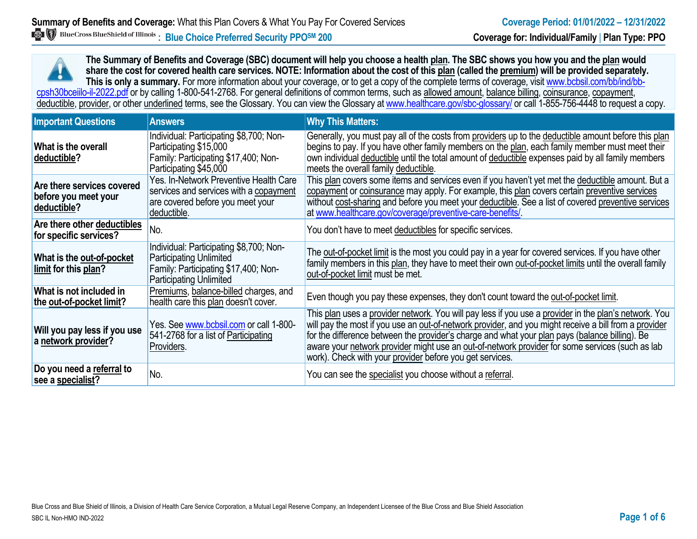**The Summary of Benefits and Coverage (SBC) document will help you choose a health plan. The SBC shows you how you and the plan would share the cost for covered health care services. NOTE: Information about the cost of this plan (called the premium) will be provided separately.** This is only a summary. For more information about your coverage, or to get a copy of the complete terms of coverage, visit www.bcbsil.com/bb/ind/bbcpsh30bceiilo-il-2022.pdf or by calling 1-800-541-2768. For general definitions of common terms, such as allowed amount, balance billing, coinsurance, copayment, deductible, provider, or other underlined terms, see the Glossary. You can view the Glossary a[t www.healthcare.gov/sbc-glossary/](http://www.healthcare.gov/sbc-glossary/) or call 1-855-756-4448 to request a copy.

| <b>Important Questions</b>                                        | <b>Answers</b>                                                                                                                                      | <b>Why This Matters:</b>                                                                                                                                                                                                                                                                                                                                                                                                                                                        |
|-------------------------------------------------------------------|-----------------------------------------------------------------------------------------------------------------------------------------------------|---------------------------------------------------------------------------------------------------------------------------------------------------------------------------------------------------------------------------------------------------------------------------------------------------------------------------------------------------------------------------------------------------------------------------------------------------------------------------------|
| What is the overall<br>deductible?                                | Individual: Participating \$8,700; Non-<br>Participating \$15,000<br>Family: Participating \$17,400; Non-<br>Participating \$45,000                 | Generally, you must pay all of the costs from providers up to the deductible amount before this plan<br>begins to pay. If you have other family members on the plan, each family member must meet their<br>own individual deductible until the total amount of deductible expenses paid by all family members<br>meets the overall family deductible.                                                                                                                           |
| Are there services covered<br>before you meet your<br>deductible? | Yes. In-Network Preventive Health Care<br>services and services with a copayment<br>are covered before you meet your<br>deductible.                 | This plan covers some items and services even if you haven't yet met the deductible amount. But a<br>copayment or coinsurance may apply. For example, this plan covers certain preventive services<br>without cost-sharing and before you meet your deductible. See a list of covered preventive services<br>at www.healthcare.gov/coverage/preventive-care-benefits/                                                                                                           |
| Are there other deductibles<br>for specific services?             | No.                                                                                                                                                 | You don't have to meet deductibles for specific services.                                                                                                                                                                                                                                                                                                                                                                                                                       |
| What is the out-of-pocket<br>limit for this plan?                 | Individual: Participating \$8,700; Non-<br><b>Participating Unlimited</b><br>Family: Participating \$17,400; Non-<br><b>Participating Unlimited</b> | The out-of-pocket limit is the most you could pay in a year for covered services. If you have other<br>family members in this plan, they have to meet their own out-of-pocket limits until the overall family<br>out-of-pocket limit must be met.                                                                                                                                                                                                                               |
| What is not included in<br>the out-of-pocket limit?               | Premiums, balance-billed charges, and<br>health care this plan doesn't cover.                                                                       | Even though you pay these expenses, they don't count toward the out-of-pocket limit.                                                                                                                                                                                                                                                                                                                                                                                            |
| Will you pay less if you use<br>a network provider?               | Yes. See www.bcbsil.com or call 1-800-<br>541-2768 for a list of Participating<br>Providers.                                                        | This plan uses a provider network. You will pay less if you use a provider in the plan's network. You<br>will pay the most if you use an out-of-network provider, and you might receive a bill from a provider<br>for the difference between the provider's charge and what your plan pays (balance billing). Be<br>aware your network provider might use an out-of-network provider for some services (such as lab<br>work). Check with your provider before you get services. |
| Do you need a referral to<br>see a specialist?                    | No.                                                                                                                                                 | You can see the specialist you choose without a referral.                                                                                                                                                                                                                                                                                                                                                                                                                       |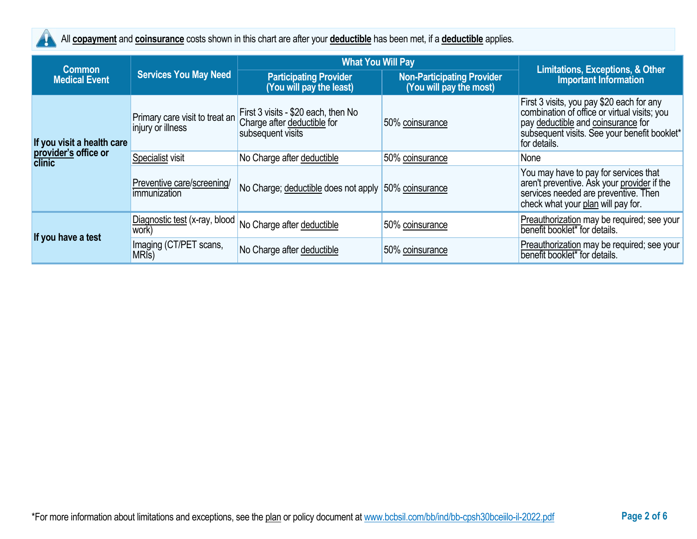

All **copayment** and **coinsurance** costs shown in this chart are after your **deductible** has been met, if a **deductible** applies.

| <b>Common</b>                  |                                                     | <b>What You Will Pay</b>                                                                                                  |                 |                                                                                                                                                                                                 |  |
|--------------------------------|-----------------------------------------------------|---------------------------------------------------------------------------------------------------------------------------|-----------------|-------------------------------------------------------------------------------------------------------------------------------------------------------------------------------------------------|--|
| <b>Medical Event</b>           | <b>Services You May Need</b>                        | <b>Participating Provider</b><br><b>Non-Participating Provider</b><br>(You will pay the least)<br>(You will pay the most) |                 | Limitations, Exceptions, & Other<br><b>Important Information</b>                                                                                                                                |  |
| If you visit a health care     | Primary care visit to treat an<br>injury or illness | First 3 visits - \$20 each, then No<br>Charge after deductible for<br>subsequent visits                                   | 50% coinsurance | First 3 visits, you pay \$20 each for any<br>combination of office or virtual visits; you<br>pay deductible and coinsurance for<br>subsequent visits. See your benefit booklet*<br>for details. |  |
| provider's office or<br>clinic | Specialist visit                                    | No Charge after deductible                                                                                                | 50% coinsurance | None                                                                                                                                                                                            |  |
|                                | Preventive care/screening/<br>immunization          | No Charge; deductible does not apply 50% coinsurance                                                                      |                 | You may have to pay for services that<br>aren't preventive. Ask your provider if the<br>services needed are preventive. Then<br>check what your plan will pay for.                              |  |
| If you have a test             | Diagnostic test (x-ray, blood<br>work)              | No Charge after deductible                                                                                                | 50% coinsurance | Preauthorization may be required; see your<br>benefit booklet* for details.                                                                                                                     |  |
|                                | Imaging (CT/PET scans,<br>MRI <sub>s</sub> )        | No Charge after deductible                                                                                                | 50% coinsurance | Preauthorization may be required; see your<br>benefit booklet* for details.                                                                                                                     |  |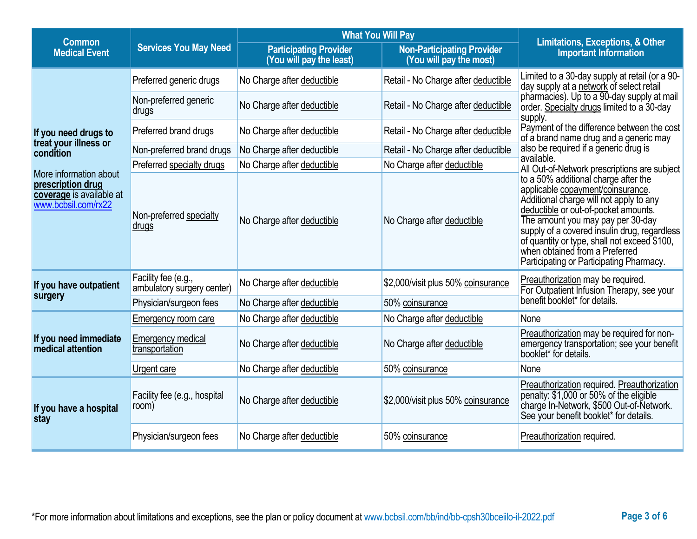| <b>Common</b>                                                                                  |                                                   | <b>What You Will Pay</b>                                  |                                                              | <b>Limitations, Exceptions, &amp; Other</b>                                                                                                                                                                                                                                                                                                                                     |  |
|------------------------------------------------------------------------------------------------|---------------------------------------------------|-----------------------------------------------------------|--------------------------------------------------------------|---------------------------------------------------------------------------------------------------------------------------------------------------------------------------------------------------------------------------------------------------------------------------------------------------------------------------------------------------------------------------------|--|
| <b>Medical Event</b>                                                                           | <b>Services You May Need</b>                      | <b>Participating Provider</b><br>(You will pay the least) | <b>Non-Participating Provider</b><br>(You will pay the most) | <b>Important Information</b>                                                                                                                                                                                                                                                                                                                                                    |  |
|                                                                                                | Preferred generic drugs                           | No Charge after deductible                                | Retail - No Charge after deductible                          | Limited to a 30-day supply at retail (or a 90-<br>day supply at a network of select retail                                                                                                                                                                                                                                                                                      |  |
|                                                                                                | Non-preferred generic<br>drugs                    | No Charge after deductible                                | Retail - No Charge after deductible                          | pharmacies). Up to a 90-day supply at mail<br>order. Specialty drugs limited to a 30-day<br>supply.                                                                                                                                                                                                                                                                             |  |
| If you need drugs to                                                                           | Preferred brand drugs                             | No Charge after deductible                                | Retail - No Charge after deductible                          | Payment of the difference between the cost<br>of a brand name drug and a generic may                                                                                                                                                                                                                                                                                            |  |
| treat your illness or<br>condition                                                             | Non-preferred brand drugs                         | No Charge after deductible                                | Retail - No Charge after deductible                          | also be required if a generic drug is                                                                                                                                                                                                                                                                                                                                           |  |
|                                                                                                | Preferred specialty drugs                         | No Charge after deductible                                | No Charge after deductible                                   | available.<br>All Out-of-Network prescriptions are subject                                                                                                                                                                                                                                                                                                                      |  |
| More information about<br>prescription drug<br>coverage is available at<br>www.bcbsil.com/rx22 | Non-preferred specialty<br>drugs                  | No Charge after deductible                                | No Charge after deductible                                   | to a 50% additional charge after the<br>applicable copayment/coinsurance.<br>Additional charge will not apply to any<br>deductible or out-of-pocket amounts.<br>The amount you may pay per 30-day<br>supply of a covered insulin drug, regardless<br>of quantity or type, shall not exceed \$100,<br>when obtained from a Preferred<br>Participating or Participating Pharmacy. |  |
| If you have outpatient                                                                         | Facility fee (e.g.,<br>ambulatory surgery center) | No Charge after deductible                                | \$2,000/visit plus 50% coinsurance                           | Preauthorization may be required.<br>For Outpatient Infusion Therapy, see your                                                                                                                                                                                                                                                                                                  |  |
| surgery                                                                                        | Physician/surgeon fees                            | No Charge after deductible                                | 50% coinsurance                                              | benefit booklet* for details.                                                                                                                                                                                                                                                                                                                                                   |  |
|                                                                                                | Emergency room care                               | No Charge after deductible                                | No Charge after deductible                                   | None                                                                                                                                                                                                                                                                                                                                                                            |  |
| If you need immediate<br>medical attention                                                     | <b>Emergency medical</b><br>transportation        | No Charge after deductible                                | No Charge after deductible                                   | Preauthorization may be required for non-<br>emergency transportation; see your benefit<br>booklet* for details.                                                                                                                                                                                                                                                                |  |
|                                                                                                | Urgent care                                       | No Charge after deductible                                | 50% coinsurance                                              | None                                                                                                                                                                                                                                                                                                                                                                            |  |
| If you have a hospital<br>stay                                                                 | Facility fee (e.g., hospital<br>room)             | No Charge after deductible                                | \$2,000/visit plus 50% coinsurance                           | Preauthorization required. Preauthorization<br>penalty: \$1,000 or 50% of the eligible<br>charge In-Network, \$500 Out-of-Network.<br>See your benefit booklet* for details.                                                                                                                                                                                                    |  |
|                                                                                                | Physician/surgeon fees                            | No Charge after deductible                                | 50% coinsurance                                              | Preauthorization required.                                                                                                                                                                                                                                                                                                                                                      |  |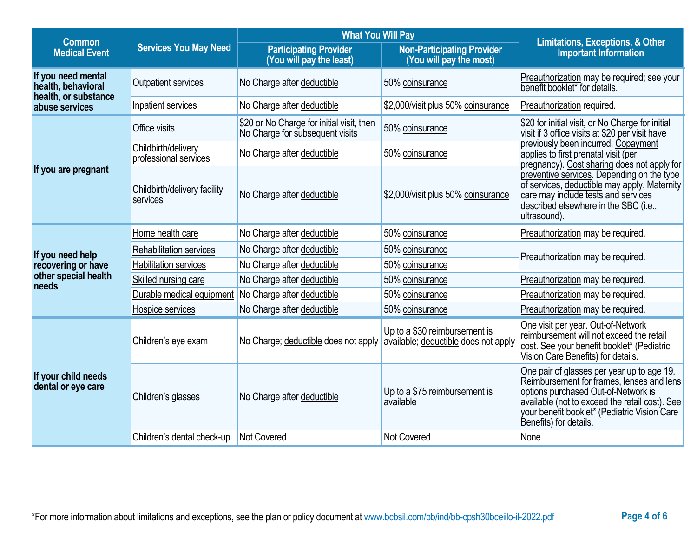| <b>What You Will Pay</b><br><b>Common</b> |                                                                        |                                                                                                                           | <b>Limitations, Exceptions, &amp; Other</b>                           |                                                                                                                                                                                                                                                            |  |
|-------------------------------------------|------------------------------------------------------------------------|---------------------------------------------------------------------------------------------------------------------------|-----------------------------------------------------------------------|------------------------------------------------------------------------------------------------------------------------------------------------------------------------------------------------------------------------------------------------------------|--|
| <b>Medical Event</b>                      | <b>Services You May Need</b>                                           | <b>Participating Provider</b><br><b>Non-Participating Provider</b><br>(You will pay the least)<br>(You will pay the most) |                                                                       | <b>Important Information</b>                                                                                                                                                                                                                               |  |
| If you need mental<br>health, behavioral  | Outpatient services                                                    | No Charge after deductible                                                                                                | 50% coinsurance                                                       | Preauthorization may be required; see your<br>benefit booklet* for details.                                                                                                                                                                                |  |
| health, or substance<br>abuse services    | Inpatient services                                                     | No Charge after deductible                                                                                                | \$2,000/visit plus 50% coinsurance                                    | Preauthorization required.                                                                                                                                                                                                                                 |  |
|                                           | Office visits                                                          | \$20 or No Charge for initial visit, then<br>No Charge for subsequent visits                                              | 50% coinsurance                                                       | \$20 for initial visit, or No Charge for initial<br>visit if 3 office visits at \$20 per visit have                                                                                                                                                        |  |
|                                           | Childbirth/delivery<br>professional services                           | No Charge after deductible                                                                                                | 50% coinsurance                                                       | previously been incurred. Copayment<br>applies to first prenatal visit (per<br>pregnancy). Cost sharing does not apply for                                                                                                                                 |  |
| If you are pregnant                       | Childbirth/delivery facility<br>No Charge after deductible<br>services |                                                                                                                           | \$2,000/visit plus 50% coinsurance                                    | preventive services. Depending on the type<br>of services, deductible may apply. Maternity<br>care may include tests and services<br>described elsewhere in the SBC (i.e.,<br>ultrasound).                                                                 |  |
|                                           | Home health care                                                       | No Charge after deductible                                                                                                | 50% coinsurance                                                       | Preauthorization may be required.                                                                                                                                                                                                                          |  |
| If you need help                          | Rehabilitation services                                                | No Charge after deductible                                                                                                | 50% coinsurance                                                       | Preauthorization may be required.                                                                                                                                                                                                                          |  |
| recovering or have                        | <b>Habilitation services</b>                                           | No Charge after deductible                                                                                                | 50% coinsurance                                                       |                                                                                                                                                                                                                                                            |  |
| other special health<br>needs             | Skilled nursing care                                                   | No Charge after deductible                                                                                                | 50% coinsurance                                                       | Preauthorization may be required.                                                                                                                                                                                                                          |  |
|                                           | Durable medical equipment                                              | No Charge after deductible                                                                                                | 50% coinsurance                                                       | Preauthorization may be required.                                                                                                                                                                                                                          |  |
| Hospice services                          |                                                                        | No Charge after deductible                                                                                                | 50% coinsurance                                                       | Preauthorization may be required.                                                                                                                                                                                                                          |  |
|                                           | Children's eye exam                                                    | No Charge; deductible does not apply                                                                                      | Up to a \$30 reimbursement is<br>available; deductible does not apply | One visit per year. Out-of-Network<br>reimbursement will not exceed the retail<br>cost. See your benefit booklet* (Pediatric<br>Vision Care Benefits) for details.                                                                                         |  |
| If your child needs<br>dental or eye care | Children's glasses                                                     | No Charge after deductible                                                                                                | Up to a \$75 reimbursement is<br>available                            | One pair of glasses per year up to age 19.<br>Reimbursement for frames, lenses and lens<br>options purchased Out-of-Network is<br>available (not to exceed the retail cost). See<br>your benefit booklet* (Pediatric Vision Care<br>Benefits) for details. |  |
|                                           | Children's dental check-up                                             | <b>Not Covered</b>                                                                                                        | Not Covered                                                           | None                                                                                                                                                                                                                                                       |  |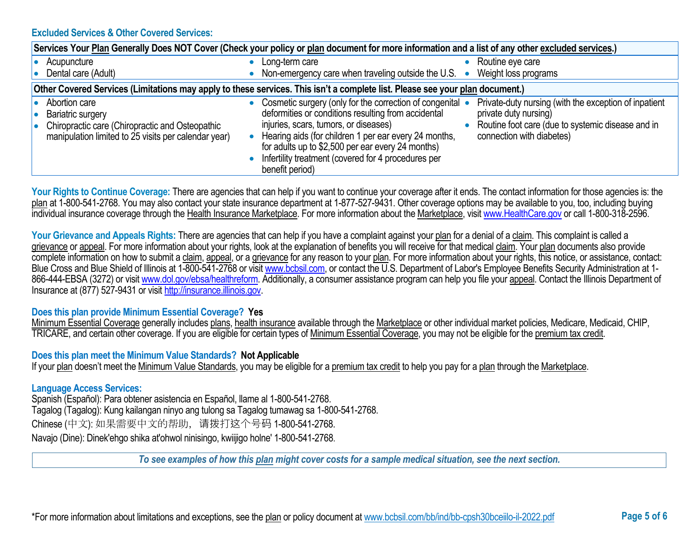#### **Excluded Services & Other Covered Services:**

| Services Your Plan Generally Does NOT Cover (Check your policy or plan document for more information and a list of any other excluded services.)     |                                                                                                                                                                                                                                                                                                                                                                                                                                                                                                                       |  |  |  |  |
|------------------------------------------------------------------------------------------------------------------------------------------------------|-----------------------------------------------------------------------------------------------------------------------------------------------------------------------------------------------------------------------------------------------------------------------------------------------------------------------------------------------------------------------------------------------------------------------------------------------------------------------------------------------------------------------|--|--|--|--|
| Acupuncture<br>Dental care (Adult)                                                                                                                   | Routine eye care<br>Long-term care<br>Non-emergency care when traveling outside the U.S.<br>Weight loss programs<br>$\bullet$                                                                                                                                                                                                                                                                                                                                                                                         |  |  |  |  |
|                                                                                                                                                      | Other Covered Services (Limitations may apply to these services. This isn't a complete list. Please see your plan document.)                                                                                                                                                                                                                                                                                                                                                                                          |  |  |  |  |
| Abortion care<br><b>Bariatric surgery</b><br>Chiropractic care (Chiropractic and Osteopathic<br>manipulation limited to 25 visits per calendar year) | Cosmetic surgery (only for the correction of congenital •<br>Private-duty nursing (with the exception of inpatient<br>deformities or conditions resulting from accidental<br>private duty nursing)<br>injuries, scars, tumors, or diseases)<br>Routine foot care (due to systemic disease and in<br>Hearing aids (for children 1 per ear every 24 months,<br>connection with diabetes)<br>for adults up to \$2,500 per ear every 24 months)<br>Infertility treatment (covered for 4 procedures per<br>benefit period) |  |  |  |  |

Your Rights to Continue Coverage: There are agencies that can help if you want to continue your coverage after it ends. The contact information for those agencies is: the plan at 1-800-541-2768. You may also contact your state insurance department at 1-877-527-9431. Other coverage options may be available to you, too, including buying individual insurance coverage through the Health Insurance Marketplace. For more information about the Marketplace, visi[t www.HealthCare.gov](http://www.healthcare.gov/) or call 1-800-318-2596.

Your Grievance and Appeals Rights: There are agencies that can help if you have a complaint against your plan for a denial of a claim. This complaint is called a grievance or appeal. For more information about your rights, look at the explanation of benefits you will receive for that medical claim. Your plan documents also provide complete information on how to submit a claim, appeal, or a grievance for any reason to your plan. For more information about your rights, this notice, or assistance, contact: Blue Cross and Blue Shield of Illinois at 1-800-541-2768 or visit [www.bcbsil.com,](http://www.bcbsil.com/) or contact the U.S. Department of Labor's Employee Benefits Security Administration at 1866-444-EBSA (3272) or visit [www.dol.gov/ebsa/healthreform.](http://www.dol.gov/ebsa/healthreform) Additionally, a consumer assistance program can help you file your appeal. Contact the Illinois Department of Insurance at (877) 527-9431 or visi[t http://insurance.illinois.gov.](http://insurance.illinois.gov/)

#### **Does this plan provide Minimum Essential Coverage? Yes**

Minimum Essential Coverage generally includes plans, health insurance available through the Marketplace or other individual market policies, Medicare, Medicaid, CHIP, TRICARE, and certain other coverage. If you are eligible for certain types of Minimum Essential Coverage, you may not be eligible for the premium tax credit.

### **Does this plan meet the Minimum Value Standards? Not Applicable**

If your plan doesn't meet the Minimum Value Standards, you may be eligible for a premium tax credit to help you pay for a plan through the Marketplace.

#### **Language Access Services:**

Spanish (Español): Para obtener asistencia en Español, llame al 1-800-541-2768. Tagalog (Tagalog): Kung kailangan ninyo ang tulong sa Tagalog tumawag sa 1-800-541-2768. Chinese (中文): 如果需要中文的帮助,请拨打这个号码 1-800-541-2768. Navajo (Dine): Dinek'ehgo shika at'ohwol ninisingo, kwiijigo holne' 1-800-541-2768.

*To see examples of how this plan might cover costs for a sample medical situation, see the next section.*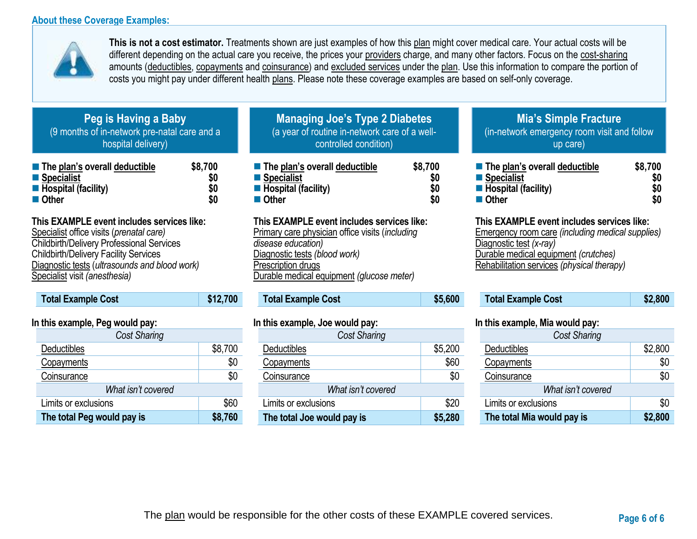### **About these Coverage Examples:**



**This is not a cost estimator.** Treatments shown are just examples of how this plan might cover medical care. Your actual costs will be different depending on the actual care you receive, the prices your providers charge, and many other factors. Focus on the cost-sharing amounts (deductibles, copayments and coinsurance) and excluded services under the plan. Use this information to compare the portion of costs you might pay under different health plans. Please note these coverage examples are based on self-only coverage.

# **Peg is Having a Baby** (9 months of in-network pre-natal care and a hospital delivery)

| The plan's overall deductible      | \$8,700 |
|------------------------------------|---------|
| ■ Specialist                       | \$0     |
| $\blacksquare$ Hospital (facility) | \$0     |
| ■ Other                            | \$0     |

## **This EXAMPLE event includes services like:**

Specialist office visits (*prenatal care)* Childbirth/Delivery Professional Services Childbirth/Delivery Facility Services Diagnostic tests (*ultrasounds and blood work)* Specialist visit *(anesthesia)* 

# **Total Example Cost \$12,700**

### **In this example, Peg would pay:**

| <b>Cost Sharing</b>        |         |
|----------------------------|---------|
| Deductibles                | \$8,700 |
| Copayments                 | \$0     |
| Coinsurance                | \$0     |
| What isn't covered         |         |
| Limits or exclusions       | \$60    |
| The total Peg would pay is | \$8,760 |

# **Managing Joe's Type 2 Diabetes** (a year of routine in-network care of a wellcontrolled condition)

| $\blacksquare$ The plan's overall deductible | \$8,700 |
|----------------------------------------------|---------|
| ■ Specialist                                 | \$0     |
| $\blacksquare$ Hospital (facility)           | \$0     |
| ■ Other                                      | \$0     |

# **This EXAMPLE event includes services like:**

Primary care physician office visits (*including disease education)* Diagnostic tests *(blood work)* Prescription drugs Durable medical equipment *(glucose meter)* 

# **Total Example Cost \$5,600**

### **In this example, Joe would pay:**

| Cost Sharing               |         |
|----------------------------|---------|
| <b>Deductibles</b>         | \$5,200 |
| Copayments                 | \$60    |
| Coinsurance                | \$0     |
| What isn't covered         |         |
| Limits or exclusions       | \$20    |
| The total Joe would pay is | \$5,280 |

#### **Mia's Simple Fracture** (in-network emergency room visit and follow up care)

| $\blacksquare$ The plan's overall deductible | \$8,700   |
|----------------------------------------------|-----------|
| ■ Specialist                                 | SO        |
| $\blacksquare$ Hospital (facility)           | <b>SO</b> |
| <b>■ Other</b>                               | SO        |

### **This EXAMPLE event includes services like:**

Emergency room care *(including medical supplies)* Diagnostic test *(x-ray)* Durable medical equipment *(crutches)* Rehabilitation services *(physical therapy)*

| <b>Total Example Cost</b> | \$2,800 |
|---------------------------|---------|
|---------------------------|---------|

### **In this example, Mia would pay:**

| <b>Cost Sharing</b>        |         |  |
|----------------------------|---------|--|
| Deductibles                | \$2,800 |  |
| Copayments                 | \$0     |  |
| Coinsurance                | \$0     |  |
| What isn't covered         |         |  |
| Limits or exclusions       | \$0     |  |
| The total Mia would pay is | \$2,800 |  |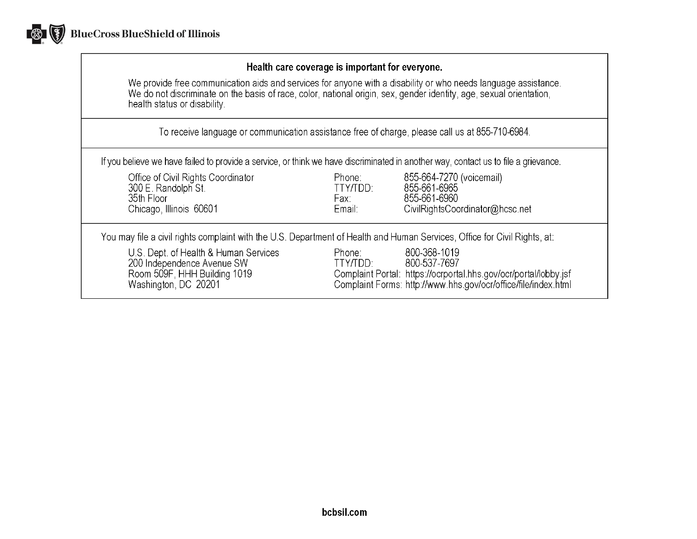

### Health care coverage is important for everyone.

We provide free communication aids and services for anyone with a disability or who needs language assistance.<br>We do not discriminate on the basis of race, color, national origin, sex, gender identity, age, sexual orientat health status or disability.

To receive language or communication assistance free of charge, please call us at 855-710-6984.

If you believe we have failed to provide a service, or think we have discriminated in another way, contact us to file a grievance.

| Office of Civil Rights Coordinator<br>300 E. Randolph St.<br>35th Floor<br>Chicago, Illinois 60601                          | Phone:<br>TTY/TDD:<br>Fax:<br>Email: | 855-664-7270 (voicemail)<br>855-661-6965<br>855-661-6960<br>CivilRightsCoordinator@hcsc.net                                                                        |
|-----------------------------------------------------------------------------------------------------------------------------|--------------------------------------|--------------------------------------------------------------------------------------------------------------------------------------------------------------------|
| You may file a civil rights complaint with the U.S. Department of Health and Human Services, Office for Civil Rights, at:   |                                      |                                                                                                                                                                    |
| U.S. Dept. of Health & Human Services<br>200 Independence Avenue SW<br>Room 509F, HHH Building 1019<br>Washington, DC 20201 | Phone:<br>TTY/TDD:                   | 800-368-1019<br>800-537-7697<br>Complaint Portal: https://ocrportal.hhs.gov/ocr/portal/lobby.jsf<br>Complaint Forms: http://www.hhs.gov/ocr/office/file/index.html |